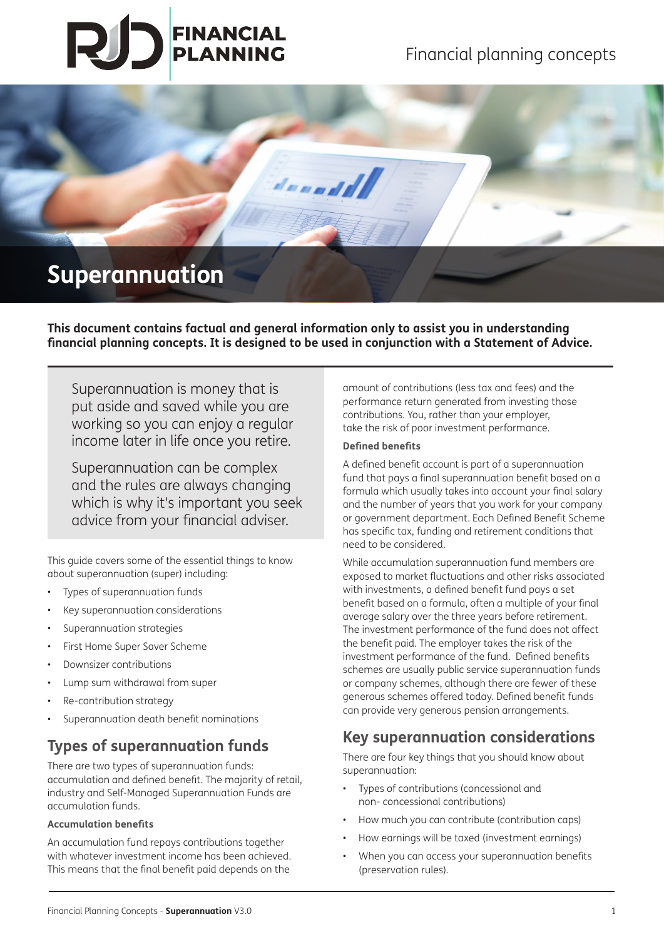# **FINANCIAL<br>PLANNING**



## **Superannuation**

**This document contains factual and general information only to assist you in understanding financial planning concepts. It is designed to be used in conjunction with a Statement of Advice.** 

Superannuation is money that is put aside and saved while you are working so you can enjoy a regular income later in life once you retire.

Superannuation can be complex and the rules are always changing which is why it's important you seek advice from your financial adviser.

This guide covers some of the essential things to know about superannuation (super) including:

- Types of superannuation funds
- Key superannuation considerations
- Superannuation strategies
- First Home Super Saver Scheme
- Downsizer contributions
- Lump sum withdrawal from super
- Re-contribution strategy
- Superannuation death benefit nominations

## **Types of superannuation funds**

There are two types of superannuation funds: accumulation and defined benefit. The majority of retail, industry and Self-Managed Superannuation Funds are accumulation funds.

#### **Accumulation benefits**

An accumulation fund repays contributions together with whatever investment income has been achieved. This means that the final benefit paid depends on the

amount of contributions (less tax and fees) and the performance return generated from investing those contributions. You, rather than your employer, take the risk of poor investment performance.

#### **Defined benefits**

A defined benefit account is part of a superannuation fund that pays a final superannuation benefit based on a formula which usually takes into account your final salary and the number of years that you work for your company or government department. Each Defined Benefit Scheme has specific tax, funding and retirement conditions that need to be considered.

While accumulation superannuation fund members are exposed to market fluctuations and other risks associated with investments, a defined benefit fund pays a set benefit based on a formula, often a multiple of your final average salary over the three years before retirement. The investment performance of the fund does not affect the benefit paid. The employer takes the risk of the investment performance of the fund. Defined benefits schemes are usually public service superannuation funds or company schemes, although there are fewer of these generous schemes offered today. Defined benefit funds can provide very generous pension arrangements.

## **Key superannuation considerations**

There are four key things that you should know about superannuation:

- Types of contributions (concessional and non- concessional contributions)
- How much you can contribute (contribution caps)
- How earnings will be taxed (investment earnings)
- When you can access your superannuation benefits (preservation rules).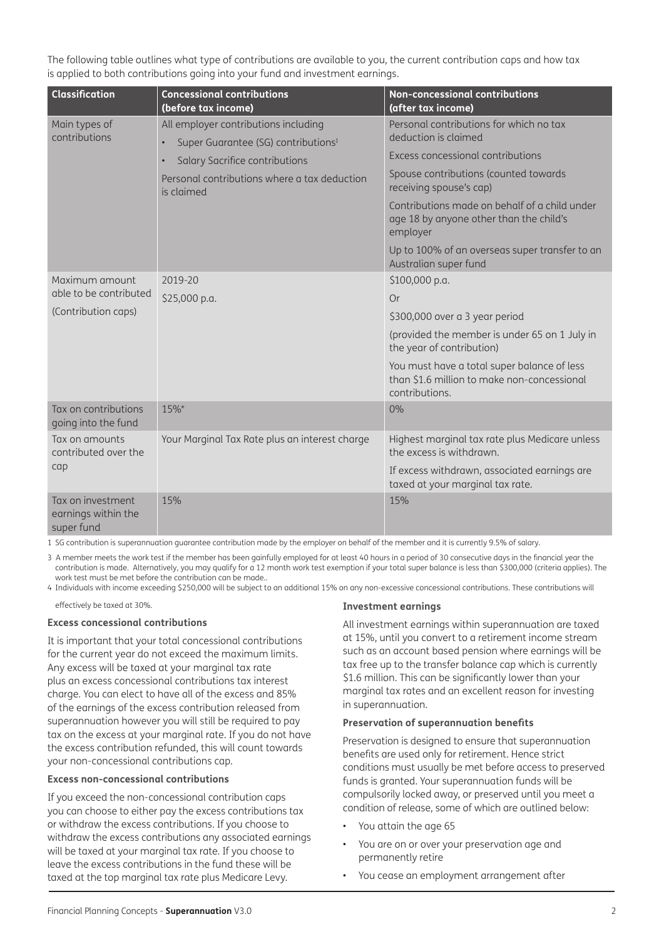The following table outlines what type of contributions are available to you, the current contribution caps and how tax is applied to both contributions going into your fund and investment earnings.

| <b>Classification</b>                                           | <b>Concessional contributions</b><br>(before tax income)                                                                                                                                                          | <b>Non-concessional contributions</b><br>(after tax income)                                                  |
|-----------------------------------------------------------------|-------------------------------------------------------------------------------------------------------------------------------------------------------------------------------------------------------------------|--------------------------------------------------------------------------------------------------------------|
| Main types of<br>contributions                                  | All employer contributions including<br>Super Guarantee (SG) contributions <sup>1</sup><br>$\bullet$<br>Salary Sacrifice contributions<br>$\bullet$<br>Personal contributions where a tax deduction<br>is claimed | Personal contributions for which no tax<br>deduction is claimed                                              |
|                                                                 |                                                                                                                                                                                                                   | Excess concessional contributions                                                                            |
|                                                                 |                                                                                                                                                                                                                   | Spouse contributions (counted towards<br>receiving spouse's cap)                                             |
|                                                                 |                                                                                                                                                                                                                   | Contributions made on behalf of a child under<br>age 18 by anyone other than the child's<br>employer         |
|                                                                 |                                                                                                                                                                                                                   | Up to 100% of an overseas super transfer to an<br>Australian super fund                                      |
| Maximum amount<br>able to be contributed<br>(Contribution caps) | 2019-20                                                                                                                                                                                                           | \$100,000 p.a.                                                                                               |
|                                                                 | \$25,000 p.a.                                                                                                                                                                                                     | Or                                                                                                           |
|                                                                 |                                                                                                                                                                                                                   | \$300,000 over a 3 year period                                                                               |
|                                                                 |                                                                                                                                                                                                                   | (provided the member is under 65 on 1 July in<br>the year of contribution)                                   |
|                                                                 |                                                                                                                                                                                                                   | You must have a total super balance of less<br>than \$1.6 million to make non-concessional<br>contributions. |
| Tax on contributions<br>going into the fund                     | 15%*                                                                                                                                                                                                              | 0%                                                                                                           |
| Tax on amounts<br>contributed over the<br>cap                   | Your Marginal Tax Rate plus an interest charge                                                                                                                                                                    | Highest marginal tax rate plus Medicare unless<br>the excess is withdrawn.                                   |
|                                                                 |                                                                                                                                                                                                                   | If excess withdrawn, associated earnings are<br>taxed at your marginal tax rate.                             |
| Tax on investment<br>earnings within the<br>super fund          | 15%                                                                                                                                                                                                               | 15%                                                                                                          |

1 SG contribution is superannuation guarantee contribution made by the employer on behalf of the member and it is currently 9.5% of salary.

3 A member meets the work test if the member has been gainfully employed for at least 40 hours in a period of 30 consecutive days in the financial year the contribution is made. Alternatively, you may qualify for a 12 month work test exemption if your total super balance is less than \$300,000 (criteria applies). The work test must be met before the contribution can be made..

4 Individuals with income exceeding \$250,000 will be subject to an additional 15% on any non-excessive concessional contributions. These contributions will

effectively be taxed at 30%.

#### **Excess concessional contributions**

It is important that your total concessional contributions for the current year do not exceed the maximum limits. Any excess will be taxed at your marginal tax rate plus an excess concessional contributions tax interest charge. You can elect to have all of the excess and 85% of the earnings of the excess contribution released from superannuation however you will still be required to pay tax on the excess at your marginal rate. If you do not have the excess contribution refunded, this will count towards your non-concessional contributions cap.

#### **Excess non-concessional contributions**

If you exceed the non-concessional contribution caps you can choose to either pay the excess contributions tax or withdraw the excess contributions. If you choose to withdraw the excess contributions any associated earnings will be taxed at your marginal tax rate. If you choose to leave the excess contributions in the fund these will be taxed at the top marginal tax rate plus Medicare Levy.

#### **Investment earnings**

All investment earnings within superannuation are taxed at 15%, until you convert to a retirement income stream such as an account based pension where earnings will be tax free up to the transfer balance cap which is currently \$1.6 million. This can be significantly lower than your marginal tax rates and an excellent reason for investing in superannuation.

#### **Preservation of superannuation benefits**

Preservation is designed to ensure that superannuation benefits are used only for retirement. Hence strict conditions must usually be met before access to preserved funds is granted. Your superannuation funds will be compulsorily locked away, or preserved until you meet a condition of release, some of which are outlined below:

- You attain the age 65
- You are on or over your preservation age and permanently retire
- You cease an employment arrangement after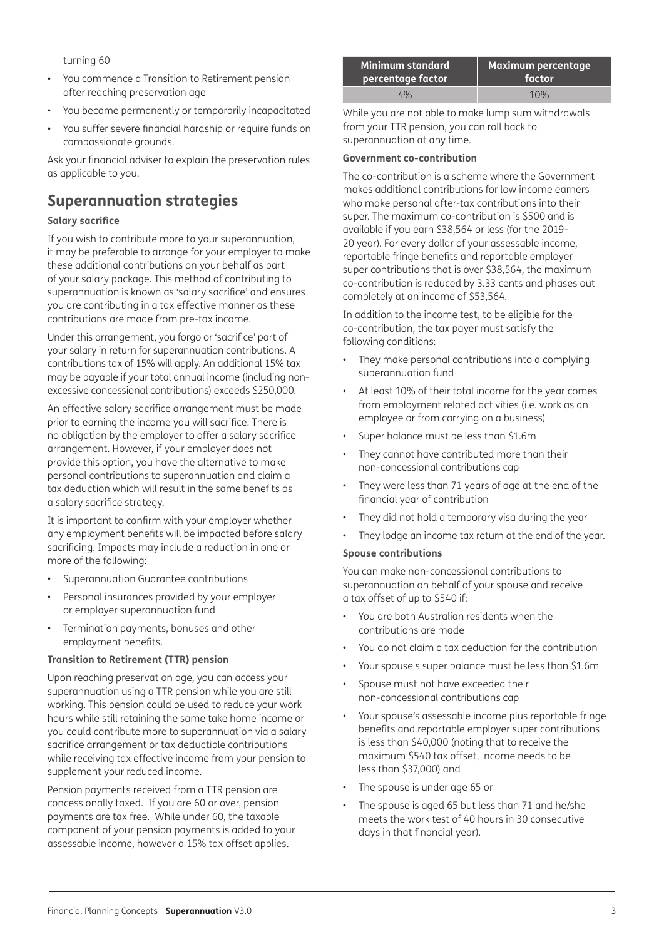turning 60

- You commence a Transition to Retirement pension after reaching preservation age
- You become permanently or temporarily incapacitated
- You suffer severe financial hardship or require funds on compassionate grounds.

Ask your financial adviser to explain the preservation rules as applicable to you.

## **Superannuation strategies**

#### **Salary sacrifice**

If you wish to contribute more to your superannuation, it may be preferable to arrange for your employer to make these additional contributions on your behalf as part of your salary package. This method of contributing to superannuation is known as 'salary sacrifice' and ensures you are contributing in a tax effective manner as these contributions are made from pre-tax income.

Under this arrangement, you forgo or 'sacrifice' part of your salary in return for superannuation contributions. A contributions tax of 15% will apply. An additional 15% tax may be payable if your total annual income (including nonexcessive concessional contributions) exceeds \$250,000.

An effective salary sacrifice arrangement must be made prior to earning the income you will sacrifice. There is no obligation by the employer to offer a salary sacrifice arrangement. However, if your employer does not provide this option, you have the alternative to make personal contributions to superannuation and claim a tax deduction which will result in the same benefits as a salary sacrifice strategy.

It is important to confirm with your employer whether any employment benefits will be impacted before salary sacrificing. Impacts may include a reduction in one or more of the following:

- Superannuation Guarantee contributions
- Personal insurances provided by your employer or employer superannuation fund
- Termination payments, bonuses and other employment benefits.

#### **Transition to Retirement (TTR) pension**

Upon reaching preservation age, you can access your superannuation using a TTR pension while you are still working. This pension could be used to reduce your work hours while still retaining the same take home income or you could contribute more to superannuation via a salary sacrifice arrangement or tax deductible contributions while receiving tax effective income from your pension to supplement your reduced income.

Pension payments received from a TTR pension are concessionally taxed. If you are 60 or over, pension payments are tax free. While under 60, the taxable component of your pension payments is added to your assessable income, however a 15% tax offset applies.

| Minimum standard  | Maximum percentage |  |
|-------------------|--------------------|--|
| percentage factor | factor             |  |
| $4\%$             | 10%                |  |

While you are not able to make lump sum withdrawals from your TTR pension, you can roll back to superannuation at any time.

#### **Government co-contribution**

The co-contribution is a scheme where the Government makes additional contributions for low income earners who make personal after-tax contributions into their super. The maximum co-contribution is \$500 and is available if you earn \$38,564 or less (for the 2019- 20 year). For every dollar of your assessable income, reportable fringe benefits and reportable employer super contributions that is over \$38,564, the maximum co-contribution is reduced by 3.33 cents and phases out completely at an income of \$53,564.

In addition to the income test, to be eligible for the co-contribution, the tax payer must satisfy the following conditions:

- They make personal contributions into a complying superannuation fund
- At least 10% of their total income for the year comes from employment related activities (i.e. work as an employee or from carrying on a business)
- Super balance must be less than \$1.6m
- They cannot have contributed more than their non-concessional contributions cap
- They were less than 71 years of age at the end of the financial year of contribution
- They did not hold a temporary visa during the year
- They lodge an income tax return at the end of the year.

#### **Spouse contributions**

You can make non-concessional contributions to superannuation on behalf of your spouse and receive a tax offset of up to \$540 if:

- You are both Australian residents when the contributions are made
- You do not claim a tax deduction for the contribution
- Your spouse's super balance must be less than \$1.6m
- Spouse must not have exceeded their non-concessional contributions cap
- Your spouse's assessable income plus reportable fringe benefits and reportable employer super contributions is less than \$40,000 (noting that to receive the maximum \$540 tax offset, income needs to be less than \$37,000) and
- The spouse is under age 65 or
- The spouse is aged 65 but less than 71 and he/she meets the work test of 40 hours in 30 consecutive days in that financial year).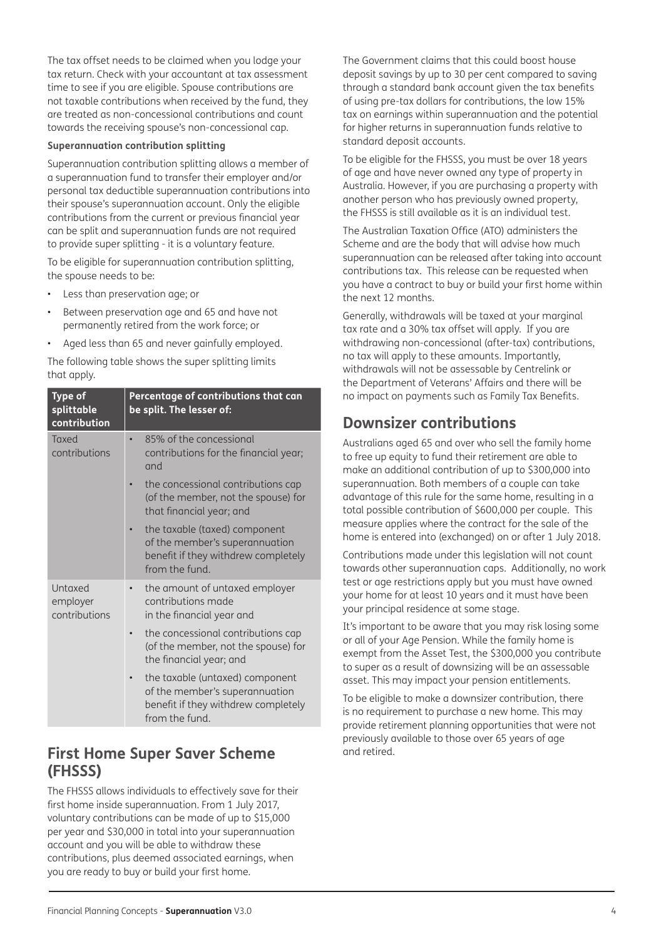The tax offset needs to be claimed when you lodge your tax return. Check with your accountant at tax assessment time to see if you are eligible. Spouse contributions are not taxable contributions when received by the fund, they are treated as non-concessional contributions and count towards the receiving spouse's non-concessional cap.

#### **Superannuation contribution splitting**

Superannuation contribution splitting allows a member of a superannuation fund to transfer their employer and/or personal tax deductible superannuation contributions into their spouse's superannuation account. Only the eligible contributions from the current or previous financial year can be split and superannuation funds are not required to provide super splitting - it is a voluntary feature.

To be eligible for superannuation contribution splitting, the spouse needs to be:

- Less than preservation age; or
- Between preservation age and 65 and have not permanently retired from the work force; or
- Aged less than 65 and never gainfully employed.

The following table shows the super splitting limits that apply.

| <b>Type of</b><br>splittable<br>contribution | Percentage of contributions that can<br>be split. The lesser of:                                                                      |  |
|----------------------------------------------|---------------------------------------------------------------------------------------------------------------------------------------|--|
| Taxed<br>contributions                       | 85% of the concessional<br>$\bullet$<br>contributions for the financial year;<br>and                                                  |  |
|                                              | the concessional contributions cap<br>(of the member, not the spouse) for<br>that financial year; and                                 |  |
|                                              | the taxable (taxed) component<br>$\bullet$<br>of the member's superannuation<br>benefit if they withdrew completely<br>from the fund. |  |
| Untaxed<br>employer<br>contributions         | the amount of untaxed employer<br>$\bullet$<br>contributions made<br>in the financial year and                                        |  |
|                                              | the concessional contributions cap<br>(of the member, not the spouse) for<br>the financial year; and                                  |  |
|                                              | the taxable (untaxed) component<br>of the member's superannuation<br>benefit if they withdrew completely<br>from the fund.            |  |
|                                              |                                                                                                                                       |  |

### **First Home Super Saver Scheme (FHSSS)**

The FHSSS allows individuals to effectively save for their first home inside superannuation. From 1 July 2017, voluntary contributions can be made of up to \$15,000 per year and \$30,000 in total into your superannuation account and you will be able to withdraw these contributions, plus deemed associated earnings, when you are ready to buy or build your first home.

The Government claims that this could boost house deposit savings by up to 30 per cent compared to saving through a standard bank account given the tax benefits of using pre-tax dollars for contributions, the low 15% tax on earnings within superannuation and the potential for higher returns in superannuation funds relative to standard deposit accounts.

To be eligible for the FHSSS, you must be over 18 years of age and have never owned any type of property in Australia. However, if you are purchasing a property with another person who has previously owned property, the FHSSS is still available as it is an individual test.

The Australian Taxation Office (ATO) administers the Scheme and are the body that will advise how much superannuation can be released after taking into account contributions tax. This release can be requested when you have a contract to buy or build your first home within the next 12 months.

Generally, withdrawals will be taxed at your marginal tax rate and a 30% tax offset will apply. If you are withdrawing non-concessional (after-tax) contributions, no tax will apply to these amounts. Importantly, withdrawals will not be assessable by Centrelink or the Department of Veterans' Affairs and there will be no impact on payments such as Family Tax Benefits.

## **Downsizer contributions**

Australians aged 65 and over who sell the family home to free up equity to fund their retirement are able to make an additional contribution of up to \$300,000 into superannuation. Both members of a couple can take advantage of this rule for the same home, resulting in a total possible contribution of \$600,000 per couple. This measure applies where the contract for the sale of the home is entered into (exchanged) on or after 1 July 2018.

Contributions made under this legislation will not count towards other superannuation caps. Additionally, no work test or age restrictions apply but you must have owned your home for at least 10 years and it must have been your principal residence at some stage.

It's important to be aware that you may risk losing some or all of your Age Pension. While the family home is exempt from the Asset Test, the \$300,000 you contribute to super as a result of downsizing will be an assessable asset. This may impact your pension entitlements.

To be eligible to make a downsizer contribution, there is no requirement to purchase a new home. This may provide retirement planning opportunities that were not previously available to those over 65 years of age and retired.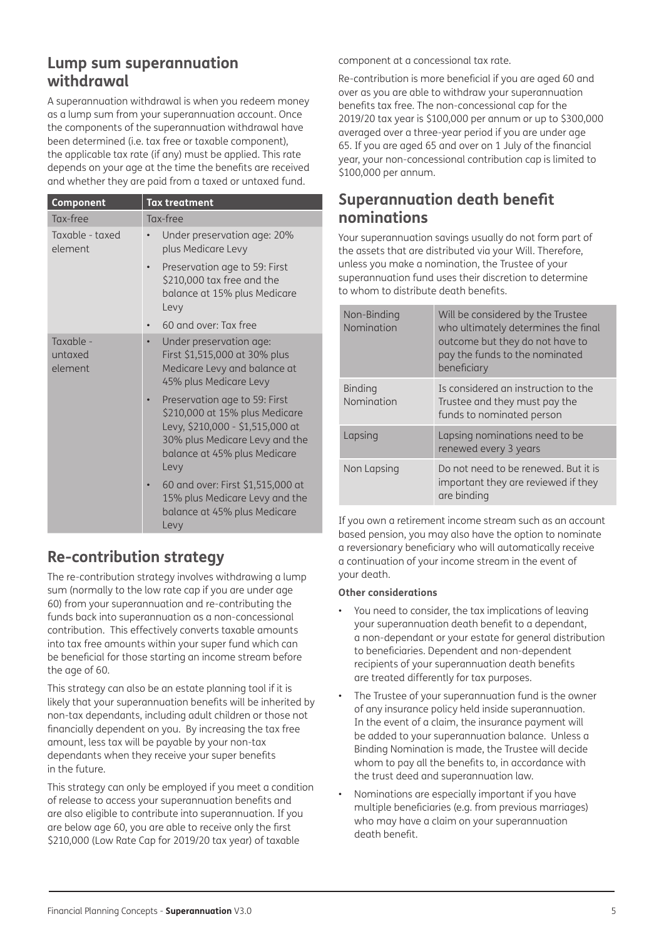## **Lump sum superannuation withdrawal**

A superannuation withdrawal is when you redeem money as a lump sum from your superannuation account. Once the components of the superannuation withdrawal have been determined (i.e. tax free or taxable component), the applicable tax rate (if any) must be applied. This rate depends on your age at the time the benefits are received and whether they are paid from a taxed or untaxed fund.

| Component                       | <b>Tax treatment</b>                                                                                                                                                          |  |  |
|---------------------------------|-------------------------------------------------------------------------------------------------------------------------------------------------------------------------------|--|--|
| Tax-free                        | Tax-free                                                                                                                                                                      |  |  |
| Taxable - taxed<br>element      | Under preservation age: 20%<br>plus Medicare Levy                                                                                                                             |  |  |
|                                 | Preservation age to 59: First<br>\$210,000 tax free and the<br>balance at 15% plus Medicare<br>Levy                                                                           |  |  |
|                                 | 60 and over: Tax free                                                                                                                                                         |  |  |
| Taxable -<br>untaxed<br>element | Under preservation age:<br>$\bullet$<br>First \$1,515,000 at 30% plus<br>Medicare Levy and balance at<br>45% plus Medicare Levy                                               |  |  |
|                                 | Preservation age to 59: First<br>\$210,000 at 15% plus Medicare<br>Levy, \$210,000 - \$1,515,000 at<br>30% plus Medicare Levy and the<br>balance at 45% plus Medicare<br>Levy |  |  |
|                                 | 60 and over: First \$1,515,000 at<br>15% plus Medicare Levy and the<br>balance at 45% plus Medicare<br>Levy                                                                   |  |  |

## **Re-contribution strategy**

The re-contribution strategy involves withdrawing a lump sum (normally to the low rate cap if you are under age 60) from your superannuation and re-contributing the funds back into superannuation as a non-concessional contribution. This effectively converts taxable amounts into tax free amounts within your super fund which can be beneficial for those starting an income stream before the age of 60.

This strategy can also be an estate planning tool if it is likely that your superannuation benefits will be inherited by non-tax dependants, including adult children or those not financially dependent on you. By increasing the tax free amount, less tax will be payable by your non-tax dependants when they receive your super benefits in the future.

This strategy can only be employed if you meet a condition of release to access your superannuation benefits and are also eligible to contribute into superannuation. If you are below age 60, you are able to receive only the first \$210,000 (Low Rate Cap for 2019/20 tax year) of taxable

component at a concessional tax rate.

Re-contribution is more beneficial if you are aged 60 and over as you are able to withdraw your superannuation benefits tax free. The non-concessional cap for the 2019/20 tax year is \$100,000 per annum or up to \$300,000 averaged over a three-year period if you are under age 65. If you are aged 65 and over on 1 July of the financial year, your non-concessional contribution cap is limited to \$100,000 per annum.

## **Superannuation death benefit nominations**

Your superannuation savings usually do not form part of the assets that are distributed via your Will. Therefore, unless you make a nomination, the Trustee of your superannuation fund uses their discretion to determine to whom to distribute death benefits.

| Non-Binding<br>Nomination    | Will be considered by the Trustee<br>who ultimately determines the final<br>outcome but they do not have to<br>pay the funds to the nominated<br>beneficiary |
|------------------------------|--------------------------------------------------------------------------------------------------------------------------------------------------------------|
| <b>Binding</b><br>Nomination | Is considered an instruction to the<br>Trustee and they must pay the<br>funds to nominated person                                                            |
| Lapsing                      | Lapsing nominations need to be<br>renewed every 3 years                                                                                                      |
| Non Lapsing                  | Do not need to be renewed. But it is<br>important they are reviewed if they<br>are binding                                                                   |

If you own a retirement income stream such as an account based pension, you may also have the option to nominate a reversionary beneficiary who will automatically receive a continuation of your income stream in the event of your death.

#### **Other considerations**

- You need to consider, the tax implications of leaving your superannuation death benefit to a dependant, a non-dependant or your estate for general distribution to beneficiaries. Dependent and non-dependent recipients of your superannuation death benefits are treated differently for tax purposes.
- The Trustee of your superannuation fund is the owner of any insurance policy held inside superannuation. In the event of a claim, the insurance payment will be added to your superannuation balance. Unless a Binding Nomination is made, the Trustee will decide whom to pay all the benefits to, in accordance with the trust deed and superannuation law.
- Nominations are especially important if you have multiple beneficiaries (e.g. from previous marriages) who may have a claim on your superannuation death benefit.